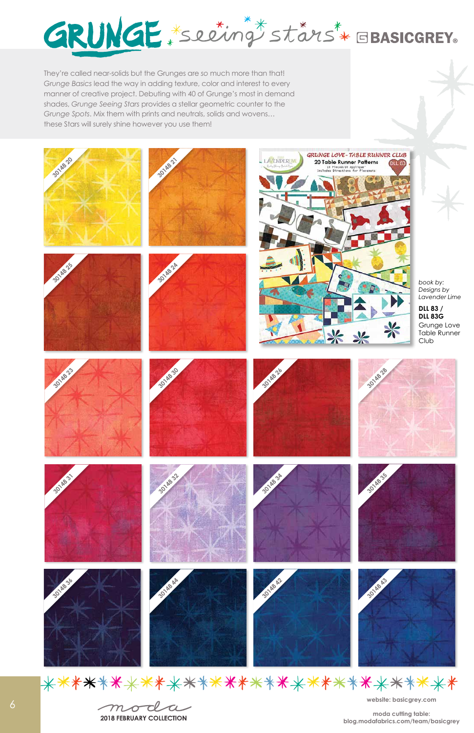**website: basicgrey.com**

**moda cutting table: blog.modafabrics.com/team/basicgrey**





\*\*\*\*\*\*\*\*\*\*\*\*\*\*\*\*\*\*\*\*\*\*\*\*\*\*\*\*\*\*\*

moda



They're called near-solids but the Grunges are *so* much more than that! *Grunge Basics* lead the way in adding texture, color and interest to every manner of creative project. Debuting with 40 of Grunge's most in demand shades, *Grunge Seeing Stars* provides a stellar geometric counter to the *Grunge Spots*. Mix them with prints and neutrals, solids and wovens… these Stars will surely shine however you use them!

6

**2018 FEBRUARY COLLECTION**